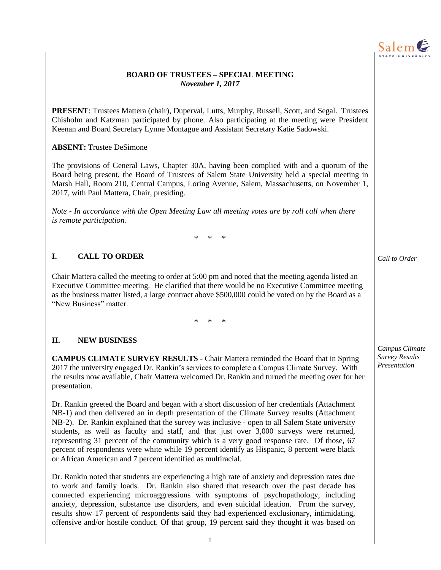

#### **BOARD OF TRUSTEES – SPECIAL MEETING**  *November 1, 2017*

**PRESENT**: Trustees Mattera (chair), Duperval, Lutts, Murphy, Russell, Scott, and Segal. Trustees Chisholm and Katzman participated by phone. Also participating at the meeting were President Keenan and Board Secretary Lynne Montague and Assistant Secretary Katie Sadowski.

#### **ABSENT:** Trustee DeSimone

The provisions of General Laws, Chapter 30A, having been complied with and a quorum of the Board being present, the Board of Trustees of Salem State University held a special meeting in Marsh Hall, Room 210, Central Campus, Loring Avenue, Salem, Massachusetts, on November 1, 2017, with Paul Mattera, Chair, presiding.

*Note - In accordance with the Open Meeting Law all meeting votes are by roll call when there is remote participation.* 

\* \* \*

#### **I. CALL TO ORDER**

Chair Mattera called the meeting to order at 5:00 pm and noted that the meeting agenda listed an Executive Committee meeting. He clarified that there would be no Executive Committee meeting as the business matter listed, a large contract above \$500,000 could be voted on by the Board as a "New Business" matter.

\* \* \*

#### **II. NEW BUSINESS**

**CAMPUS CLIMATE SURVEY RESULTS -** Chair Mattera reminded the Board that in Spring 2017 the university engaged Dr. Rankin's services to complete a Campus Climate Survey. With the results now available, Chair Mattera welcomed Dr. Rankin and turned the meeting over for her presentation.

Dr. Rankin greeted the Board and began with a short discussion of her credentials (Attachment NB-1) and then delivered an in depth presentation of the Climate Survey results (Attachment NB-2). Dr. Rankin explained that the survey was inclusive - open to all Salem State university students, as well as faculty and staff, and that just over 3,000 surveys were returned, representing 31 percent of the community which is a very good response rate. Of those, 67 percent of respondents were white while 19 percent identify as Hispanic, 8 percent were black or African American and 7 percent identified as multiracial.

Dr. Rankin noted that students are experiencing a high rate of anxiety and depression rates due to work and family loads. Dr. Rankin also shared that research over the past decade has connected experiencing microaggressions with symptoms of psychopathology, including anxiety, depression, substance use disorders, and even suicidal ideation. From the survey, results show 17 percent of respondents said they had experienced exclusionary, intimidating, offensive and/or hostile conduct. Of that group, 19 percent said they thought it was based on *Call to Order*

*Campus Climate Survey Results Presentation*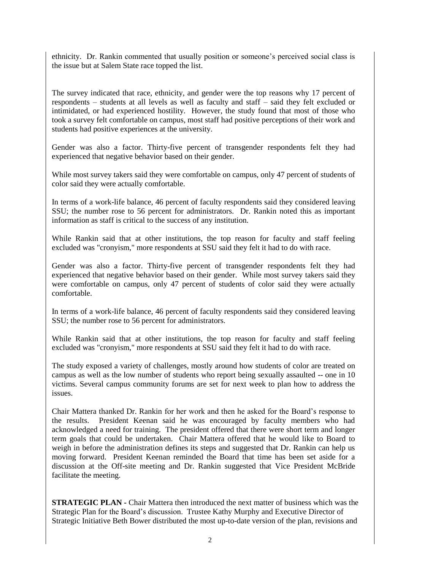ethnicity. Dr. Rankin commented that usually position or someone's perceived social class is the issue but at Salem State race topped the list.

The survey indicated that race, ethnicity, and gender were the top reasons why 17 percent of respondents – students at all levels as well as faculty and staff – said they felt excluded or intimidated, or had experienced hostility. However, the study found that most of those who took a survey felt comfortable on campus, most staff had positive perceptions of their work and students had positive experiences at the university.

Gender was also a factor. Thirty-five percent of transgender respondents felt they had experienced that negative behavior based on their gender.

While most survey takers said they were comfortable on campus, only 47 percent of students of color said they were actually comfortable.

In terms of a work-life balance, 46 percent of faculty respondents said they considered leaving SSU; the number rose to 56 percent for administrators. Dr. Rankin noted this as important information as staff is critical to the success of any institution.

While Rankin said that at other institutions, the top reason for faculty and staff feeling excluded was "cronyism," more respondents at SSU said they felt it had to do with race.

Gender was also a factor. Thirty-five percent of transgender respondents felt they had experienced that negative behavior based on their gender. While most survey takers said they were comfortable on campus, only 47 percent of students of color said they were actually comfortable.

In terms of a work-life balance, 46 percent of faculty respondents said they considered leaving SSU; the number rose to 56 percent for administrators.

While Rankin said that at other institutions, the top reason for faculty and staff feeling excluded was "cronyism," more respondents at SSU said they felt it had to do with race.

The study exposed a variety of challenges, mostly around how students of color are treated on campus as well as the low number of students who report being sexually assaulted -- one in 10 victims. Several campus community forums are set for next week to plan how to address the issues.

Chair Mattera thanked Dr. Rankin for her work and then he asked for the Board's response to the results. President Keenan said he was encouraged by faculty members who had acknowledged a need for training. The president offered that there were short term and longer term goals that could be undertaken. Chair Mattera offered that he would like to Board to weigh in before the administration defines its steps and suggested that Dr. Rankin can help us moving forward. President Keenan reminded the Board that time has been set aside for a discussion at the Off-site meeting and Dr. Rankin suggested that Vice President McBride facilitate the meeting.

**STRATEGIC PLAN - Chair Mattera then introduced the next matter of business which was the** Strategic Plan for the Board's discussion. Trustee Kathy Murphy and Executive Director of Strategic Initiative Beth Bower distributed the most up-to-date version of the plan, revisions and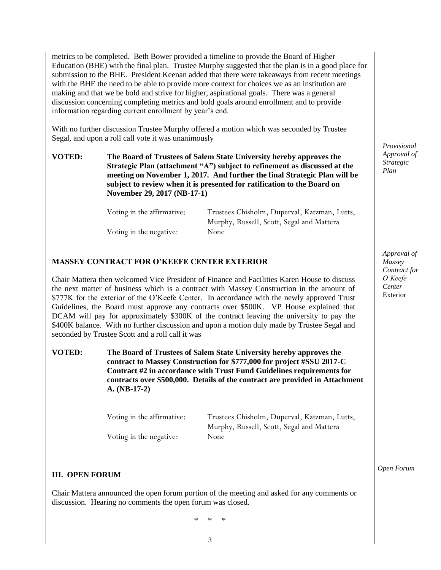metrics to be completed. Beth Bower provided a timeline to provide the Board of Higher Education (BHE) with the final plan. Trustee Murphy suggested that the plan is in a good place for submission to the BHE. President Keenan added that there were takeaways from recent meetings with the BHE the need to be able to provide more context for choices we as an institution are making and that we be bold and strive for higher, aspirational goals. There was a general discussion concerning completing metrics and bold goals around enrollment and to provide information regarding current enrollment by year's end.

With no further discussion Trustee Murphy offered a motion which was seconded by Trustee Segal, and upon a roll call vote it was unanimously

**VOTED: The Board of Trustees of Salem State University hereby approves the Strategic Plan (attachment "A") subject to refinement as discussed at the meeting on November 1, 2017. And further the final Strategic Plan will be subject to review when it is presented for ratification to the Board on November 29, 2017 (NB-17-1)** 

| Voting in the affirmative: | Trustees Chisholm, Duperval, Katzman, Lutts, |
|----------------------------|----------------------------------------------|
|                            | Murphy, Russell, Scott, Segal and Mattera    |
| Voting in the negative:    | None                                         |

#### **MASSEY CONTRACT FOR O'KEEFE CENTER EXTERIOR**

Chair Mattera then welcomed Vice President of Finance and Facilities Karen House to discuss the next matter of business which is a contract with Massey Construction in the amount of \$777K for the exterior of the O'Keefe Center. In accordance with the newly approved Trust Guidelines, the Board must approve any contracts over \$500K. VP House explained that DCAM will pay for approximately \$300K of the contract leaving the university to pay the \$400K balance. With no further discussion and upon a motion duly made by Trustee Segal and seconded by Trustee Scott and a roll call it was

#### **VOTED: The Board of Trustees of Salem State University hereby approves the contract to Massey Construction for \$777,000 for project #SSU 2017-C Contract #2 in accordance with Trust Fund Guidelines requirements for contracts over \$500,000. Details of the contract are provided in Attachment A. (NB-17-2)**

| Voting in the affirmative: | Trustees Chisholm, Duperval, Katzman, Lutts, |
|----------------------------|----------------------------------------------|
|                            | Murphy, Russell, Scott, Segal and Mattera    |
| Voting in the negative:    | None                                         |

#### **III. OPEN FORUM**

Chair Mattera announced the open forum portion of the meeting and asked for any comments or discussion. Hearing no comments the open forum was closed.

\* \* \*

*Provisional Approval of Strategic Plan*

*Approval of Massey Contract for O'Keefe Center*  Exterior

*Open Forum*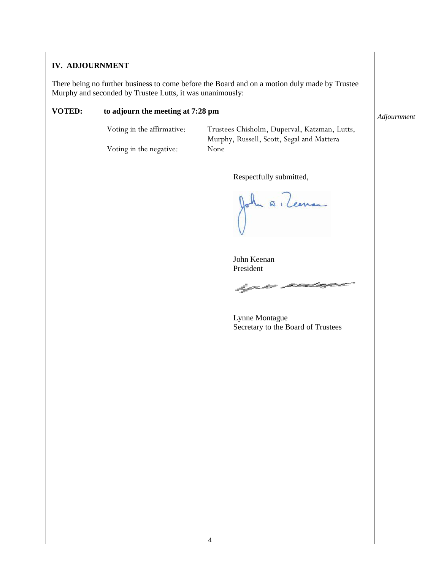#### **IV. ADJOURNMENT**

There being no further business to come before the Board and on a motion duly made by Trustee Murphy and seconded by Trustee Lutts, it was unanimously:

#### **VOTED: to adjourn the meeting at 7:28 pm**

Voting in the affirmative: Trustees Chisholm, Duperval, Katzman, Lutts, Murphy, Russell, Scott, Segal and Mattera

Voting in the negative: None

Respectfully submitted,

 $\overline{n}$  ( Leenan

John Keenan President

hquer sendagen

Lynne Montague Secretary to the Board of Trustees

*Adjournment*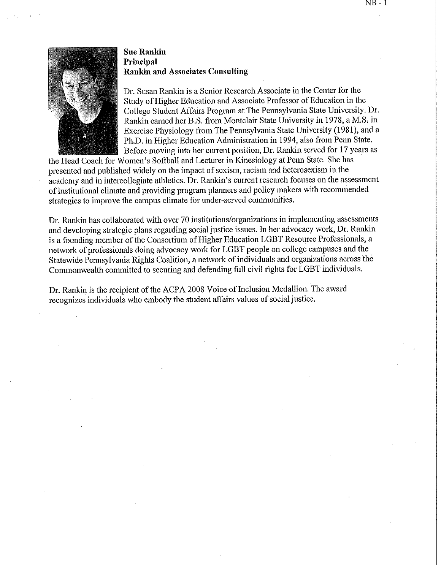#### **Sue Rankin** Principal **Rankin and Associates Consulting**

Dr. Susan Rankin is a Senior Research Associate in the Center for the Study of Higher Education and Associate Professor of Education in the College Student Affairs Program at The Pennsylvania State University. Dr. Rankin earned her B.S. from Montclair State University in 1978, a M.S. in Exercise Physiology from The Pennsylvania State University (1981), and a Ph.D. in Higher Education Administration in 1994, also from Penn State. Before moving into her current position, Dr. Rankin served for 17 years as

the Head Coach for Women's Softball and Lecturer in Kinesiology at Penn State. She has presented and published widely on the impact of sexism, racism and heterosexism in the academy and in intercollegiate athletics. Dr. Rankin's current research focuses on the assessment of institutional climate and providing program planners and policy makers with recommended strategies to improve the campus climate for under-served communities.

Dr. Rankin has collaborated with over 70 institutions/organizations in implementing assessments and developing strategic plans regarding social justice issues. In her advocacy work, Dr. Rankin is a founding member of the Consortium of Higher Education LGBT Resource Professionals, a network of professionals doing advocacy work for LGBT people on college campuses and the Statewide Pennsylvania Rights Coalition, a network of individuals and organizations across the Commonwealth committed to securing and defending full civil rights for LGBT individuals.

Dr. Rankin is the recipient of the ACPA 2008 Voice of Inclusion Medallion. The award recognizes individuals who embody the student affairs values of social justice.

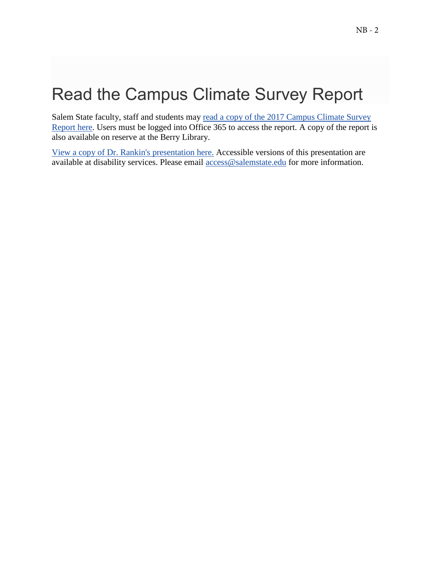# Read the Campus Climate Survey Report

Salem State faculty, staff and students may [read a copy of the 2017 Campus Climate Survey](https://livesalemstate.sharepoint.com/sites/Committee-CampusClimateStudy/_layouts/15/guestaccess.aspx?guestaccesstoken=KyyQlNeUp3G5Sr2cS6PdBpyM5%2BsELkGyVHasA6ME2I0%3D&docid=2_084801eff0aa04727b48e21a522b24a6e&rev=1&e=c17e6b649ffa4be19eba649bdafbfb0d)  [Report here.](https://livesalemstate.sharepoint.com/sites/Committee-CampusClimateStudy/_layouts/15/guestaccess.aspx?guestaccesstoken=KyyQlNeUp3G5Sr2cS6PdBpyM5%2BsELkGyVHasA6ME2I0%3D&docid=2_084801eff0aa04727b48e21a522b24a6e&rev=1&e=c17e6b649ffa4be19eba649bdafbfb0d) Users must be logged into Office 365 to access the report. A copy of the report is also available on reserve at the Berry Library.

[View a copy of Dr. Rankin's presentation here.](https://livesalemstate.sharepoint.com/sites/Committee-CampusClimateStudy/_layouts/15/guestaccess.aspx?guestaccesstoken=%2FEKtQ50OlCw%2Fdyj1D2WMZqwkGmUkz46nHOlUaOAEPQw%3D&docid=2_095e105d878154a45893325af7b46e758&rev=1&e=33df306d15414ee697277f873b32ebc2) Accessible versions of this presentation are available at disability services. Please email [access@salemstate.edu](mailto:access@salemstate.edu) for more information.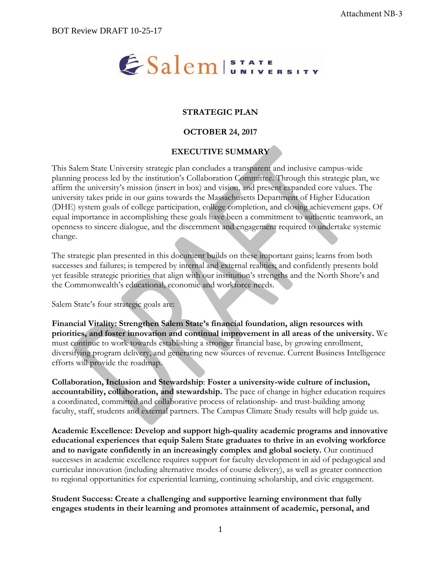# ESalem STATE SITY

# **STRATEGIC PLAN**

#### **OCTOBER 24, 2017**

# **EXECUTIVE SUMMARY**

This Salem State University strategic plan concludes a transparent and inclusive campus-wide planning process led by the institution's Collaboration Committee. Through this strategic plan, we affirm the university's mission (insert in box) and vision, and present expanded core values. The university takes pride in our gains towards the Massachusetts Department of Higher Education (DHE) system goals of college participation, college completion, and closing achievement gaps. Of equal importance in accomplishing these goals have been a commitment to authentic teamwork, an openness to sincere dialogue, and the discernment and engagement required to undertake systemic change.

The strategic plan presented in this document builds on these important gains; learns from both successes and failures; is tempered by internal and external realities; and confidently presents bold yet feasible strategic priorities that align with our institution's strengths and the North Shore's and the Commonwealth's educational, economic and workforce needs.

Salem State's four strategic goals are:

**Financial Vitality: Strengthen Salem State's financial foundation, align resources with priorities, and foster innovation and continual improvement in all areas of the university.** We must continue to work towards establishing a stronger financial base, by growing enrollment, diversifying program delivery, and generating new sources of revenue. Current Business Intelligence efforts will provide the roadmap.

**Collaboration, Inclusion and Stewardship**: **Foster a university-wide culture of inclusion, accountability, collaboration, and stewardship.** The pace of change in higher education requires a coordinated, committed and collaborative process of relationship- and trust-building among faculty, staff, students and external partners. The Campus Climate Study results will help guide us.

**Academic Excellence: Develop and support high-quality academic programs and innovative educational experiences that equip Salem State graduates to thrive in an evolving workforce and to navigate confidently in an increasingly complex and global society.** Our continued successes in academic excellence requires support for faculty development in aid of pedagogical and curricular innovation (including alternative modes of course delivery), as well as greater connection to regional opportunities for experiential learning, continuing scholarship, and civic engagement.

**Student Success: Create a challenging and supportive learning environment that fully engages students in their learning and promotes attainment of academic, personal, and**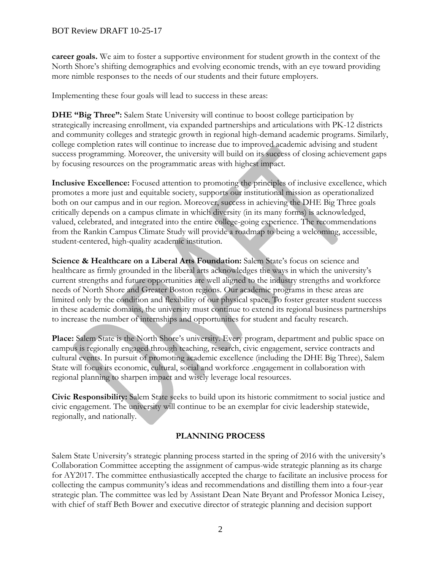**career goals.** We aim to foster a supportive environment for student growth in the context of the North Shore's shifting demographics and evolving economic trends, with an eye toward providing more nimble responses to the needs of our students and their future employers.

Implementing these four goals will lead to success in these areas:

**DHE "Big Three":** Salem State University will continue to boost college participation by strategically increasing enrollment, via expanded partnerships and articulations with PK-12 districts and community colleges and strategic growth in regional high-demand academic programs. Similarly, college completion rates will continue to increase due to improved academic advising and student success programming. Moreover, the university will build on its success of closing achievement gaps by focusing resources on the programmatic areas with highest impact.

**Inclusive Excellence:** Focused attention to promoting the principles of inclusive excellence, which promotes a more just and equitable society, supports our institutional mission as operationalized both on our campus and in our region. Moreover, success in achieving the DHE Big Three goals critically depends on a campus climate in which diversity (in its many forms) is acknowledged, valued, celebrated, and integrated into the entire college-going experience. The recommendations from the Rankin Campus Climate Study will provide a roadmap to being a welcoming, accessible, student-centered, high-quality academic institution.

**Science & Healthcare on a Liberal Arts Foundation:** Salem State's focus on science and healthcare as firmly grounded in the liberal arts acknowledges the ways in which the university's current strengths and future opportunities are well aligned to the industry strengths and workforce needs of North Shore and Greater Boston regions. Our academic programs in these areas are limited only by the condition and flexibility of our physical space. To foster greater student success in these academic domains, the university must continue to extend its regional business partnerships to increase the number of internships and opportunities for student and faculty research.

**Place:** Salem State is the North Shore's university. Every program, department and public space on campus is regionally engaged through teaching, research, civic engagement, service contracts and cultural events. In pursuit of promoting academic excellence (including the DHE Big Three), Salem State will focus its economic, cultural, social and workforce .engagement in collaboration with regional planning to sharpen impact and wisely leverage local resources.

**Civic Responsibility:** Salem State seeks to build upon its historic commitment to social justice and civic engagement. The university will continue to be an exemplar for civic leadership statewide, regionally, and nationally.

# **PLANNING PROCESS**

Salem State University's strategic planning process started in the spring of 2016 with the university's Collaboration Committee accepting the assignment of campus-wide strategic planning as its charge for AY2017. The committee enthusiastically accepted the charge to facilitate an inclusive process for collecting the campus community's ideas and recommendations and distilling them into a four-year strategic plan. The committee was led by Assistant Dean Nate Bryant and Professor Monica Leisey, with chief of staff Beth Bower and executive director of strategic planning and decision support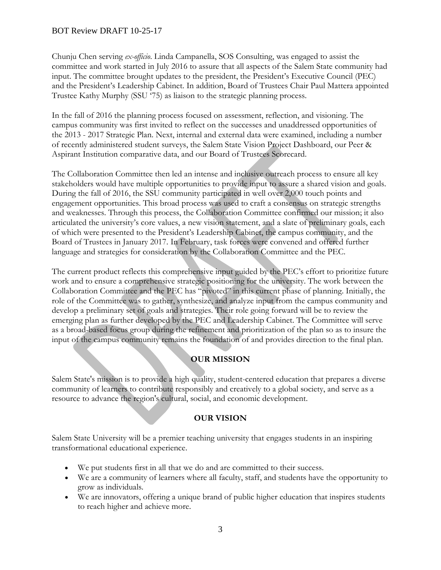Chunju Chen serving *ex-officio*. Linda Campanella, SOS Consulting, was engaged to assist the committee and work started in July 2016 to assure that all aspects of the Salem State community had input. The committee brought updates to the president, the President's Executive Council (PEC) and the President's Leadership Cabinet. In addition, Board of Trustees Chair Paul Mattera appointed Trustee Kathy Murphy (SSU '75) as liaison to the strategic planning process.

In the fall of 2016 the planning process focused on assessment, reflection, and visioning. The campus community was first invited to reflect on the successes and unaddressed opportunities of the 2013 - 2017 Strategic Plan. Next, internal and external data were examined, including a number of recently administered student surveys, the Salem State Vision Project Dashboard, our Peer & Aspirant Institution comparative data, and our Board of Trustees Scorecard.

The Collaboration Committee then led an intense and inclusive outreach process to ensure all key stakeholders would have multiple opportunities to provide input to assure a shared vision and goals. During the fall of 2016, the SSU community participated in well over 2,000 touch points and engagement opportunities. This broad process was used to craft a consensus on strategic strengths and weaknesses. Through this process, the Collaboration Committee confirmed our mission; it also articulated the university's core values, a new vision statement, and a slate of preliminary goals, each of which were presented to the President's Leadership Cabinet, the campus community, and the Board of Trustees in January 2017. In February, task forces were convened and offered further language and strategies for consideration by the Collaboration Committee and the PEC.

The current product reflects this comprehensive input guided by the PEC's effort to prioritize future work and to ensure a comprehensive strategic positioning for the university. The work between the Collaboration Committee and the PEC has "pivoted" in this current phase of planning. Initially, the role of the Committee was to gather, synthesize, and analyze input from the campus community and develop a preliminary set of goals and strategies. Their role going forward will be to review the emerging plan as further developed by the PEC and Leadership Cabinet. The Committee will serve as a broad-based focus group during the refinement and prioritization of the plan so as to insure the input of the campus community remains the foundation of and provides direction to the final plan.

# **OUR MISSION**

Salem State's mission is to provide a high quality, student-centered education that prepares a diverse community of learners to contribute responsibly and creatively to a global society, and serve as a resource to advance the region's cultural, social, and economic development.

#### **OUR VISION**

Salem State University will be a premier teaching university that engages students in an inspiring transformational educational experience.

- We put students first in all that we do and are committed to their success.
- We are a community of learners where all faculty, staff, and students have the opportunity to grow as individuals.
- We are innovators, offering a unique brand of public higher education that inspires students to reach higher and achieve more.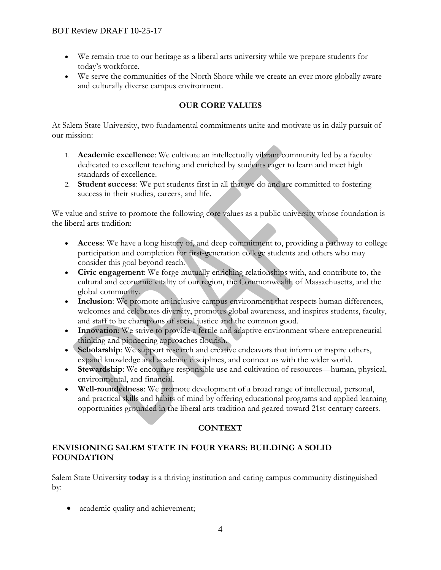- We remain true to our heritage as a liberal arts university while we prepare students for today's workforce.
- We serve the communities of the North Shore while we create an ever more globally aware and culturally diverse campus environment.

# **OUR CORE VALUES**

At Salem State University, two fundamental commitments unite and motivate us in daily pursuit of our mission:

- 1. **Academic excellence**: We cultivate an intellectually vibrant community led by a faculty dedicated to excellent teaching and enriched by students eager to learn and meet high standards of excellence.
- 2. **Student success**: We put students first in all that we do and are committed to fostering success in their studies, careers, and life.

We value and strive to promote the following core values as a public university whose foundation is the liberal arts tradition:

- **Access**: We have a long history of, and deep commitment to, providing a pathway to college participation and completion for first-generation college students and others who may consider this goal beyond reach.
- **Civic engagement**: We forge mutually enriching relationships with, and contribute to, the cultural and economic vitality of our region, the Commonwealth of Massachusetts, and the global community.
- Inclusion: We promote an inclusive campus environment that respects human differences, welcomes and celebrates diversity, promotes global awareness, and inspires students, faculty, and staff to be champions of social justice and the common good.
- **Innovation**: We strive to provide a fertile and adaptive environment where entrepreneurial thinking and pioneering approaches flourish.
- **Scholarship**: We support research and creative endeavors that inform or inspire others, expand knowledge and academic disciplines, and connect us with the wider world.
- **Stewardship**: We encourage responsible use and cultivation of resources—human, physical, environmental, and financial.
- **Well-roundedness**: We promote development of a broad range of intellectual, personal, and practical skills and habits of mind by offering educational programs and applied learning opportunities grounded in the liberal arts tradition and geared toward 21st-century careers.

# **CONTEXT**

# **ENVISIONING SALEM STATE IN FOUR YEARS: BUILDING A SOLID FOUNDATION**

Salem State University **today** is a thriving institution and caring campus community distinguished by:

• academic quality and achievement;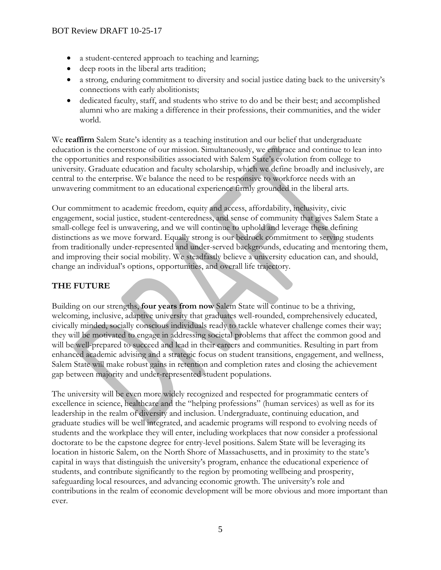- a student-centered approach to teaching and learning;
- deep roots in the liberal arts tradition;
- a strong, enduring commitment to diversity and social justice dating back to the university's connections with early abolitionists;
- dedicated faculty, staff, and students who strive to do and be their best; and accomplished alumni who are making a difference in their professions, their communities, and the wider world.

We **reaffirm** Salem State's identity as a teaching institution and our belief that undergraduate education is the cornerstone of our mission. Simultaneously, we embrace and continue to lean into the opportunities and responsibilities associated with Salem State's evolution from college to university. Graduate education and faculty scholarship, which we define broadly and inclusively, are central to the enterprise. We balance the need to be responsive to workforce needs with an unwavering commitment to an educational experience firmly grounded in the liberal arts.

Our commitment to academic freedom, equity and access, affordability, inclusivity, civic engagement, social justice, student-centeredness, and sense of community that gives Salem State a small-college feel is unwavering, and we will continue to uphold and leverage these defining distinctions as we move forward. Equally strong is our bedrock commitment to serving students from traditionally under-represented and under-served backgrounds, educating and mentoring them, and improving their social mobility. We steadfastly believe a university education can, and should, change an individual's options, opportunities, and overall life trajectory.

# **THE FUTURE**

Building on our strengths, **four years from now** Salem State will continue to be a thriving, welcoming, inclusive, adaptive university that graduates well-rounded, comprehensively educated, civically minded, socially conscious individuals ready to tackle whatever challenge comes their way; they will be motivated to engage in addressing societal problems that affect the common good and will be well-prepared to succeed and lead in their careers and communities. Resulting in part from enhanced academic advising and a strategic focus on student transitions, engagement, and wellness, Salem State will make robust gains in retention and completion rates and closing the achievement gap between majority and under-represented student populations.

The university will be even more widely recognized and respected for programmatic centers of excellence in science, healthcare and the "helping professions" (human services) as well as for its leadership in the realm of diversity and inclusion. Undergraduate, continuing education, and graduate studies will be well integrated, and academic programs will respond to evolving needs of students and the workplace they will enter, including workplaces that now consider a professional doctorate to be the capstone degree for entry-level positions. Salem State will be leveraging its location in historic Salem, on the North Shore of Massachusetts, and in proximity to the state's capital in ways that distinguish the university's program, enhance the educational experience of students, and contribute significantly to the region by promoting wellbeing and prosperity, safeguarding local resources, and advancing economic growth. The university's role and contributions in the realm of economic development will be more obvious and more important than ever.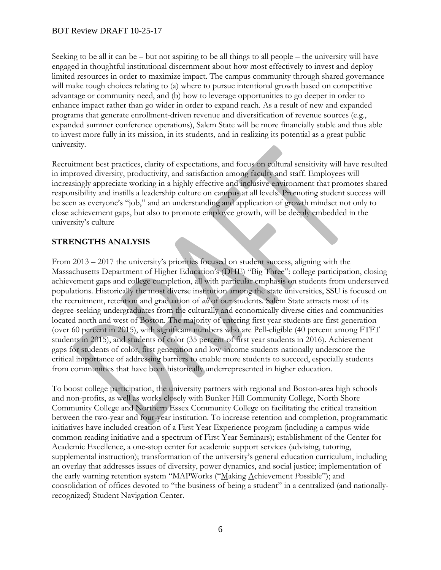Seeking to be all it can be – but not aspiring to be all things to all people – the university will have engaged in thoughtful institutional discernment about how most effectively to invest and deploy limited resources in order to maximize impact. The campus community through shared governance will make tough choices relating to (a) where to pursue intentional growth based on competitive advantage or community need, and (b) how to leverage opportunities to go deeper in order to enhance impact rather than go wider in order to expand reach. As a result of new and expanded programs that generate enrollment-driven revenue and diversification of revenue sources (e.g., expanded summer conference operations), Salem State will be more financially stable and thus able to invest more fully in its mission, in its students, and in realizing its potential as a great public university.

Recruitment best practices, clarity of expectations, and focus on cultural sensitivity will have resulted in improved diversity, productivity, and satisfaction among faculty and staff. Employees will increasingly appreciate working in a highly effective and inclusive environment that promotes shared responsibility and instills a leadership culture on campus at all levels. Promoting student success will be seen as everyone's "job," and an understanding and application of growth mindset not only to close achievement gaps, but also to promote employee growth, will be deeply embedded in the university's culture

# **STRENGTHS ANALYSIS**

From 2013 – 2017 the university's priorities focused on student success, aligning with the Massachusetts Department of Higher Education's (DHE) "Big Three": college participation, closing achievement gaps and college completion, all with particular emphasis on students from underserved populations. Historically the most diverse institution among the state universities, SSU is focused on the recruitment, retention and graduation of *all* of our students. Salem State attracts most of its degree-seeking undergraduates from the culturally and economically diverse cities and communities located north and west of Boston. The majority of entering first year students are first-generation (over 60 percent in 2015), with significant numbers who are Pell-eligible (40 percent among FTFT students in 2015), and students of color (35 percent of first year students in 2016). Achievement gaps for students of color, first generation and low-income students nationally underscore the critical importance of addressing barriers to enable more students to succeed, especially students from communities that have been historically underrepresented in higher education.

To boost college participation, the university partners with regional and Boston-area high schools and non-profits, as well as works closely with Bunker Hill Community College, North Shore Community College and Northern Essex Community College on facilitating the critical transition between the two-year and four-year institution. To increase retention and completion, programmatic initiatives have included creation of a First Year Experience program (including a campus-wide common reading initiative and a spectrum of First Year Seminars); establishment of the Center for Academic Excellence, a one-stop center for academic support services (advising, tutoring, supplemental instruction); transformation of the university's general education curriculum, including an overlay that addresses issues of diversity, power dynamics, and social justice; implementation of the early warning retention system "MAPWorks ("Making Achievement *P*ossible"); and consolidation of offices devoted to "the business of being a student" in a centralized (and nationallyrecognized) Student Navigation Center.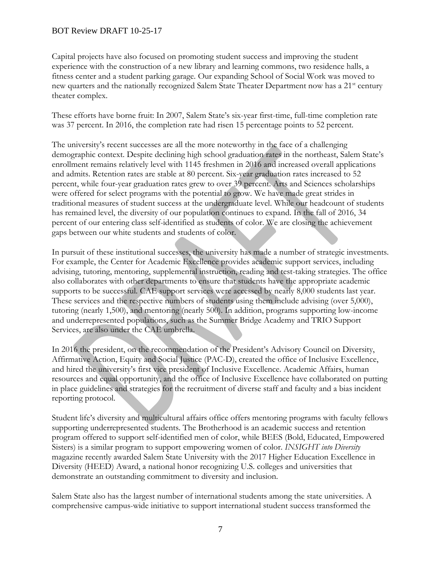Capital projects have also focused on promoting student success and improving the student experience with the construction of a new library and learning commons, two residence halls, a fitness center and a student parking garage. Our expanding School of Social Work was moved to new quarters and the nationally recognized Salem State Theater Department now has a 21<sup>st</sup> century theater complex.

These efforts have borne fruit: In 2007, Salem State's six-year first-time, full-time completion rate was 37 percent. In 2016, the completion rate had risen 15 percentage points to 52 percent.

The university's recent successes are all the more noteworthy in the face of a challenging demographic context. Despite declining high school graduation rates in the northeast, Salem State's enrollment remains relatively level with 1145 freshmen in 2016 and increased overall applications and admits. Retention rates are stable at 80 percent. Six-year graduation rates increased to 52 percent, while four-year graduation rates grew to over 39 percent. Arts and Sciences scholarships were offered for select programs with the potential to grow. We have made great strides in traditional measures of student success at the undergraduate level. While our headcount of students has remained level, the diversity of our population continues to expand. In the fall of 2016, 34 percent of our entering class self-identified as students of color. We are closing the achievement gaps between our white students and students of color.

In pursuit of these institutional successes, the university has made a number of strategic investments. For example, the Center for Academic Excellence provides academic support services, including advising, tutoring, mentoring, supplemental instruction, reading and test-taking strategies. The office also collaborates with other departments to ensure that students have the appropriate academic supports to be successful. CAE support services were accessed by nearly 8,000 students last year. These services and the respective numbers of students using them include advising (over 5,000), tutoring (nearly 1,500), and mentoring (nearly 500). In addition, programs supporting low-income and underrepresented populations, such as the Summer Bridge Academy and TRIO Support Services, are also under the CAE umbrella.

In 2016 the president, on the recommendation of the President's Advisory Council on Diversity, Affirmative Action, Equity and Social Justice (PAC-D), created the office of Inclusive Excellence, and hired the university's first vice president of Inclusive Excellence. Academic Affairs, human resources and equal opportunity, and the office of Inclusive Excellence have collaborated on putting in place guidelines and strategies for the recruitment of diverse staff and faculty and a bias incident reporting protocol.

Student life's diversity and multicultural affairs office offers mentoring programs with faculty fellows supporting underrepresented students. The Brotherhood is an academic success and retention program offered to support self-identified men of color, while BEES (Bold, Educated, Empowered Sisters) is a similar program to support empowering women of color. *INSIGHT into Diversity* magazine recently awarded Salem State University with the 2017 Higher Education Excellence in Diversity (HEED) Award, a national honor recognizing U.S. colleges and universities that demonstrate an outstanding commitment to diversity and inclusion.

Salem State also has the largest number of international students among the state universities. A comprehensive campus-wide initiative to support international student success transformed the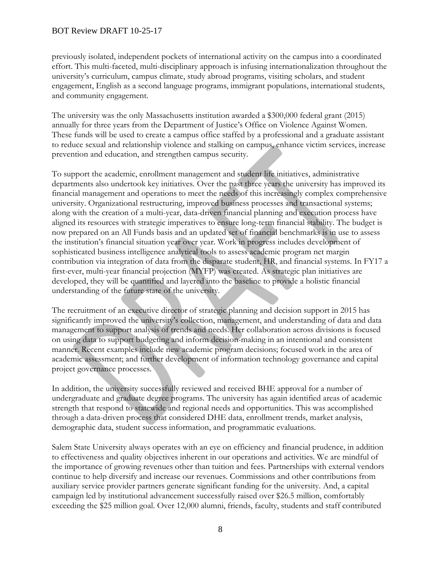previously isolated, independent pockets of international activity on the campus into a coordinated effort. This multi-faceted, multi-disciplinary approach is infusing internationalization throughout the university's curriculum, campus climate, study abroad programs, visiting scholars, and student engagement, English as a second language programs, immigrant populations, international students, and community engagement.

The university was the only Massachusetts institution awarded a \$300,000 federal grant (2015) annually for three years from the Department of Justice's Office on Violence Against Women. These funds will be used to create a campus office staffed by a professional and a graduate assistant to reduce sexual and relationship violence and stalking on campus, enhance victim services, increase prevention and education, and strengthen campus security.

To support the academic, enrollment management and student life initiatives, administrative departments also undertook key initiatives. Over the past three years the university has improved its financial management and operations to meet the needs of this increasingly complex comprehensive university. Organizational restructuring, improved business processes and transactional systems; along with the creation of a multi-year, data-driven financial planning and execution process have aligned its resources with strategic imperatives to ensure long-term financial stability. The budget is now prepared on an All Funds basis and an updated set of financial benchmarks is in use to assess the institution's financial situation year over year. Work in progress includes development of sophisticated business intelligence analytical tools to assess academic program net margin contribution via integration of data from the disparate student, HR, and financial systems. In FY17 a first-ever, multi-year financial projection (MYFP) was created. As strategic plan initiatives are developed, they will be quantified and layered into the baseline to provide a holistic financial understanding of the future state of the university.

The recruitment of an executive director of strategic planning and decision support in 2015 has significantly improved the university's collection, management, and understanding of data and data management to support analysis of trends and needs. Her collaboration across divisions is focused on using data to support budgeting and inform decision-making in an intentional and consistent manner. Recent examples include new academic program decisions; focused work in the area of academic assessment; and further development of information technology governance and capital project governance processes.

In addition, the university successfully reviewed and received BHE approval for a number of undergraduate and graduate degree programs. The university has again identified areas of academic strength that respond to statewide and regional needs and opportunities. This was accomplished through a data-driven process that considered DHE data, enrollment trends, market analysis, demographic data, student success information, and programmatic evaluations.

Salem State University always operates with an eye on efficiency and financial prudence, in addition to effectiveness and quality objectives inherent in our operations and activities. We are mindful of the importance of growing revenues other than tuition and fees. Partnerships with external vendors continue to help diversify and increase our revenues. Commissions and other contributions from auxiliary service provider partners generate significant funding for the university. And, a capital campaign led by institutional advancement successfully raised over \$26.5 million, comfortably exceeding the \$25 million goal. Over 12,000 alumni, friends, faculty, students and staff contributed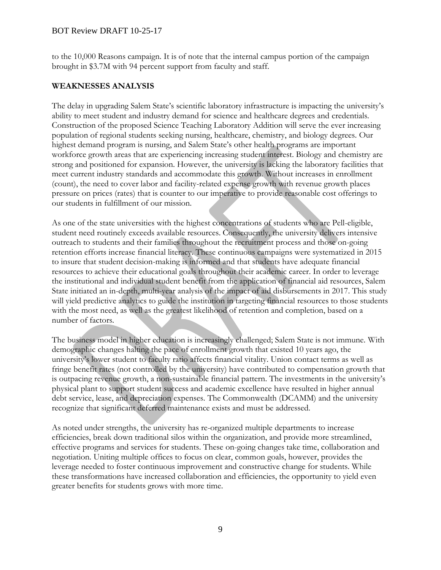to the 10,000 Reasons campaign. It is of note that the internal campus portion of the campaign brought in \$3.7M with 94 percent support from faculty and staff.

#### **WEAKNESSES ANALYSIS**

The delay in upgrading Salem State's scientific laboratory infrastructure is impacting the university's ability to meet student and industry demand for science and healthcare degrees and credentials. Construction of the proposed Science Teaching Laboratory Addition will serve the ever increasing population of regional students seeking nursing, healthcare, chemistry, and biology degrees. Our highest demand program is nursing, and Salem State's other health programs are important workforce growth areas that are experiencing increasing student interest. Biology and chemistry are strong and positioned for expansion. However, the university is lacking the laboratory facilities that meet current industry standards and accommodate this growth. Without increases in enrollment (count), the need to cover labor and facility-related expense growth with revenue growth places pressure on prices (rates) that is counter to our imperative to provide reasonable cost offerings to our students in fulfillment of our mission.

As one of the state universities with the highest concentrations of students who are Pell-eligible, student need routinely exceeds available resources. Consequently, the university delivers intensive outreach to students and their families throughout the recruitment process and those on-going retention efforts increase financial literacy. These continuous campaigns were systematized in 2015 to insure that student decision-making is informed and that students have adequate financial resources to achieve their educational goals throughout their academic career. In order to leverage the institutional and individual student benefit from the application of financial aid resources, Salem State initiated an in-depth, multi-year analysis of the impact of aid disbursements in 2017. This study will yield predictive analytics to guide the institution in targeting financial resources to those students with the most need, as well as the greatest likelihood of retention and completion, based on a number of factors.

The business model in higher education is increasingly challenged; Salem State is not immune. With demographic changes halting the pace of enrollment growth that existed 10 years ago, the university's lower student to faculty ratio affects financial vitality. Union contact terms as well as fringe benefit rates (not controlled by the university) have contributed to compensation growth that is outpacing revenue growth, a non-sustainable financial pattern. The investments in the university's physical plant to support student success and academic excellence have resulted in higher annual debt service, lease, and depreciation expenses. The Commonwealth (DCAMM) and the university recognize that significant deferred maintenance exists and must be addressed.

As noted under strengths, the university has re-organized multiple departments to increase efficiencies, break down traditional silos within the organization, and provide more streamlined, effective programs and services for students. These on-going changes take time, collaboration and negotiation. Uniting multiple offices to focus on clear, common goals, however, provides the leverage needed to foster continuous improvement and constructive change for students. While these transformations have increased collaboration and efficiencies, the opportunity to yield even greater benefits for students grows with more time.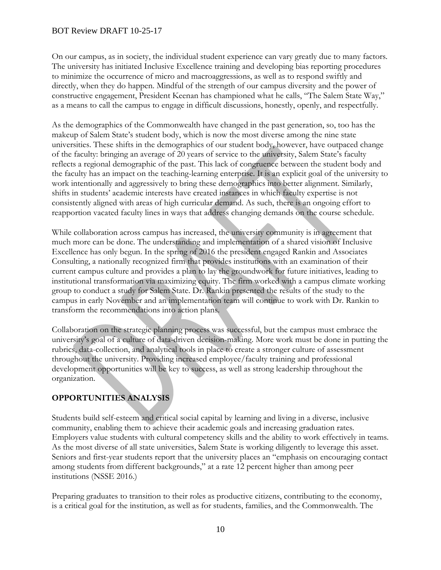On our campus, as in society, the individual student experience can vary greatly due to many factors. The university has initiated Inclusive Excellence training and developing bias reporting procedures to minimize the occurrence of micro and macroaggressions, as well as to respond swiftly and directly, when they do happen. Mindful of the strength of our campus diversity and the power of constructive engagement, President Keenan has championed what he calls, "The Salem State Way," as a means to call the campus to engage in difficult discussions, honestly, openly, and respectfully.

As the demographics of the Commonwealth have changed in the past generation, so, too has the makeup of Salem State's student body, which is now the most diverse among the nine state universities. These shifts in the demographics of our student body, however, have outpaced change of the faculty: bringing an average of 20 years of service to the university, Salem State's faculty reflects a regional demographic of the past. This lack of congruence between the student body and the faculty has an impact on the teaching-learning enterprise. It is an explicit goal of the university to work intentionally and aggressively to bring these demographics into better alignment. Similarly, shifts in students' academic interests have created instances in which faculty expertise is not consistently aligned with areas of high curricular demand. As such, there is an ongoing effort to reapportion vacated faculty lines in ways that address changing demands on the course schedule.

While collaboration across campus has increased, the university community is in agreement that much more can be done. The understanding and implementation of a shared vision of Inclusive Excellence has only begun. In the spring of 2016 the president engaged Rankin and Associates Consulting, a nationally recognized firm that provides institutions with an examination of their current campus culture and provides a plan to lay the groundwork for future initiatives, leading to institutional transformation via maximizing equity. The firm worked with a campus climate working group to conduct a study for Salem State. Dr. Rankin presented the results of the study to the campus in early November and an implementation team will continue to work with Dr. Rankin to transform the recommendations into action plans.

Collaboration on the strategic planning process was successful, but the campus must embrace the university's goal of a culture of data-driven decision-making. More work must be done in putting the rubrics, data-collection, and analytical tools in place to create a stronger culture of assessment throughout the university. Providing increased employee/faculty training and professional development opportunities will be key to success, as well as strong leadership throughout the organization.

# **OPPORTUNITIES ANALYSIS**

Students build self-esteem and critical social capital by learning and living in a diverse, inclusive community, enabling them to achieve their academic goals and increasing graduation rates. Employers value students with cultural competency skills and the ability to work effectively in teams. As the most diverse of all state universities, Salem State is working diligently to leverage this asset. Seniors and first-year students report that the university places an "emphasis on encouraging contact among students from different backgrounds," at a rate 12 percent higher than among peer institutions (NSSE 2016.)

Preparing graduates to transition to their roles as productive citizens, contributing to the economy, is a critical goal for the institution, as well as for students, families, and the Commonwealth. The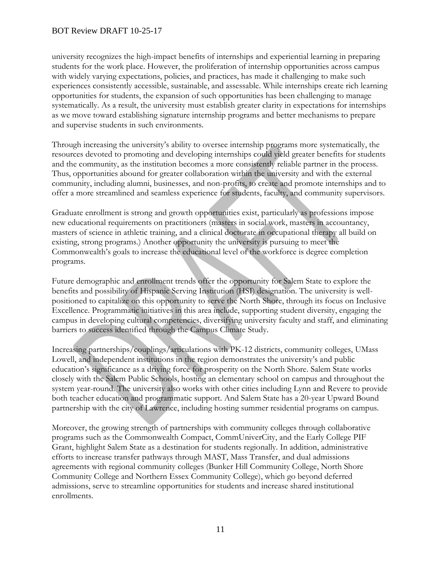university recognizes the high-impact benefits of internships and experiential learning in preparing students for the work place. However, the proliferation of internship opportunities across campus with widely varying expectations, policies, and practices, has made it challenging to make such experiences consistently accessible, sustainable, and assessable. While internships create rich learning opportunities for students, the expansion of such opportunities has been challenging to manage systematically. As a result, the university must establish greater clarity in expectations for internships as we move toward establishing signature internship programs and better mechanisms to prepare and supervise students in such environments.

Through increasing the university's ability to oversee internship programs more systematically, the resources devoted to promoting and developing internships could yield greater benefits for students and the community, as the institution becomes a more consistently reliable partner in the process. Thus, opportunities abound for greater collaboration within the university and with the external community, including alumni, businesses, and non-profits, to create and promote internships and to offer a more streamlined and seamless experience for students, faculty, and community supervisors.

Graduate enrollment is strong and growth opportunities exist, particularly as professions impose new educational requirements on practitioners (masters in social work, masters in accountancy, masters of science in athletic training, and a clinical doctorate in occupational therapy all build on existing, strong programs.) Another opportunity the university is pursuing to meet the Commonwealth's goals to increase the educational level of the workforce is degree completion programs.

Future demographic and enrollment trends offer the opportunity for Salem State to explore the benefits and possibility of Hispanic Serving Institution (HSI) designation. The university is wellpositioned to capitalize on this opportunity to serve the North Shore, through its focus on Inclusive Excellence. Programmatic initiatives in this area include, supporting student diversity, engaging the campus in developing cultural competencies, diversifying university faculty and staff, and eliminating barriers to success identified through the Campus Climate Study.

Increasing partnerships/couplings/articulations with PK-12 districts, community colleges, UMass Lowell, and independent institutions in the region demonstrates the university's and public education's significance as a driving force for prosperity on the North Shore. Salem State works closely with the Salem Public Schools, hosting an elementary school on campus and throughout the system year-round. The university also works with other cities including Lynn and Revere to provide both teacher education and programmatic support. And Salem State has a 20-year Upward Bound partnership with the city of Lawrence, including hosting summer residential programs on campus.

Moreover, the growing strength of partnerships with community colleges through collaborative programs such as the Commonwealth Compact, CommUniverCity, and the Early College PIF Grant, highlight Salem State as a destination for students regionally. In addition, administrative efforts to increase transfer pathways through MAST, Mass Transfer, and dual admissions agreements with regional community colleges (Bunker Hill Community College, North Shore Community College and Northern Essex Community College), which go beyond deferred admissions, serve to streamline opportunities for students and increase shared institutional enrollments.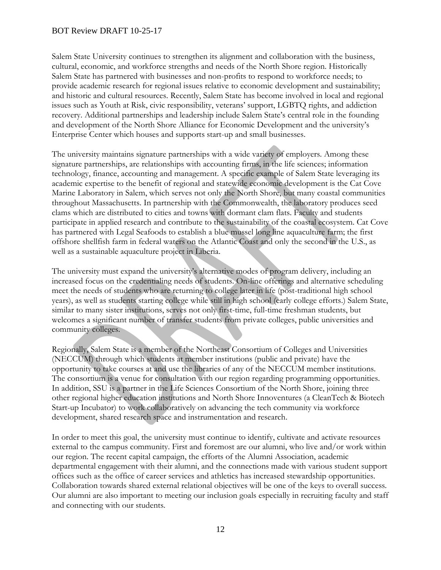Salem State University continues to strengthen its alignment and collaboration with the business, cultural, economic, and workforce strengths and needs of the North Shore region. Historically Salem State has partnered with businesses and non-profits to respond to workforce needs; to provide academic research for regional issues relative to economic development and sustainability; and historic and cultural resources. Recently, Salem State has become involved in local and regional issues such as Youth at Risk, civic responsibility, veterans' support, LGBTQ rights, and addiction recovery. Additional partnerships and leadership include Salem State's central role in the founding and development of the North Shore Alliance for Economic Development and the university's Enterprise Center which houses and supports start-up and small businesses.

The university maintains signature partnerships with a wide variety of employers. Among these signature partnerships, are relationships with accounting firms, in the life sciences; information technology, finance, accounting and management. A specific example of Salem State leveraging its academic expertise to the benefit of regional and statewide economic development is the Cat Cove Marine Laboratory in Salem, which serves not only the North Shore, but many coastal communities throughout Massachusetts. In partnership with the Commonwealth, the laboratory produces seed clams which are distributed to cities and towns with dormant clam flats. Faculty and students participate in applied research and contribute to the sustainability of the coastal ecosystem. Cat Cove has partnered with Legal Seafoods to establish a blue mussel long line aquaculture farm; the first offshore shellfish farm in federal waters on the Atlantic Coast and only the second in the U.S., as well as a sustainable aquaculture project in Liberia.

The university must expand the university's alternative modes of program delivery, including an increased focus on the credentialing needs of students. On-line offerings and alternative scheduling meet the needs of students who are returning to college later in life (post-traditional high school years), as well as students starting college while still in high school (early college efforts.) Salem State, similar to many sister institutions, serves not only first-time, full-time freshman students, but welcomes a significant number of transfer students from private colleges, public universities and community colleges.

Regionally, Salem State is a member of the Northeast Consortium of Colleges and Universities (NECCUM) through which students at member institutions (public and private) have the opportunity to take courses at and use the libraries of any of the NECCUM member institutions. The consortium is a venue for consultation with our region regarding programming opportunities. In addition, SSU is a partner in the Life Sciences Consortium of the North Shore, joining three other regional higher education institutions and North Shore Innoventures (a CleanTech & Biotech Start-up Incubator) to work collaboratively on advancing the tech community via workforce development, shared research space and instrumentation and research.

In order to meet this goal, the university must continue to identify, cultivate and activate resources external to the campus community. First and foremost are our alumni, who live and/or work within our region. The recent capital campaign, the efforts of the Alumni Association, academic departmental engagement with their alumni, and the connections made with various student support offices such as the office of career services and athletics has increased stewardship opportunities. Collaboration towards shared external relational objectives will be one of the keys to overall success. Our alumni are also important to meeting our inclusion goals especially in recruiting faculty and staff and connecting with our students.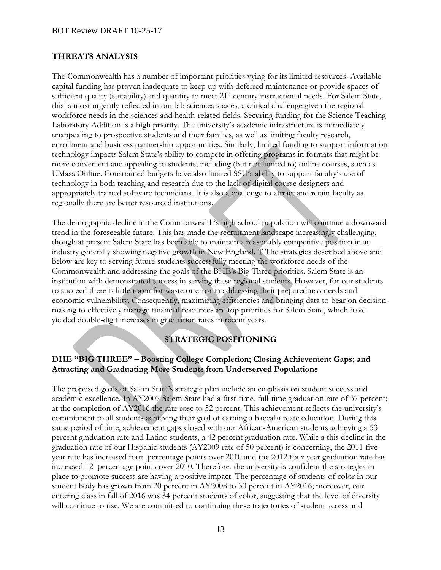#### **THREATS ANALYSIS**

The Commonwealth has a number of important priorities vying for its limited resources. Available capital funding has proven inadequate to keep up with deferred maintenance or provide spaces of sufficient quality (suitability) and quantity to meet 21<sup>st</sup> century instructional needs. For Salem State, this is most urgently reflected in our lab sciences spaces, a critical challenge given the regional workforce needs in the sciences and health-related fields. Securing funding for the Science Teaching Laboratory Addition is a high priority. The university's academic infrastructure is immediately unappealing to prospective students and their families, as well as limiting faculty research, enrollment and business partnership opportunities. Similarly, limited funding to support information technology impacts Salem State's ability to compete in offering programs in formats that might be more convenient and appealing to students, including (but not limited to) online courses, such as UMass Online. Constrained budgets have also limited SSU's ability to support faculty's use of technology in both teaching and research due to the lack of digital course designers and appropriately trained software technicians. It is also a challenge to attract and retain faculty as regionally there are better resourced institutions.

The demographic decline in the Commonwealth's high school population will continue a downward trend in the foreseeable future. This has made the recruitment landscape increasingly challenging, though at present Salem State has been able to maintain a reasonably competitive position in an industry generally showing negative growth in New England. T The strategies described above and below are key to serving future students successfully meeting the workforce needs of the Commonwealth and addressing the goals of the BHE's Big Three priorities. Salem State is an institution with demonstrated success in serving these regional students. However, for our students to succeed there is little room for waste or error in addressing their preparedness needs and economic vulnerability. Consequently, maximizing efficiencies and bringing data to bear on decisionmaking to effectively manage financial resources are top priorities for Salem State, which have yielded double-digit increases in graduation rates in recent years.

# **STRATEGIC POSITIONING**

#### **DHE "BIG THREE" – Boosting College Completion; Closing Achievement Gaps; and Attracting and Graduating More Students from Underserved Populations**

The proposed goals of Salem State's strategic plan include an emphasis on student success and academic excellence. In AY2007 Salem State had a first-time, full-time graduation rate of 37 percent; at the completion of AY2016 the rate rose to 52 percent. This achievement reflects the university's commitment to all students achieving their goal of earning a baccalaureate education. During this same period of time, achievement gaps closed with our African-American students achieving a 53 percent graduation rate and Latino students, a 42 percent graduation rate. While a this decline in the graduation rate of our Hispanic students (AY2009 rate of 50 percent) is concerning, the 2011 fiveyear rate has increased four percentage points over 2010 and the 2012 four-year graduation rate has increased 12 percentage points over 2010. Therefore, the university is confident the strategies in place to promote success are having a positive impact. The percentage of students of color in our student body has grown from 20 percent in AY2008 to 30 percent in AY2016; moreover, our entering class in fall of 2016 was 34 percent students of color, suggesting that the level of diversity will continue to rise. We are committed to continuing these trajectories of student access and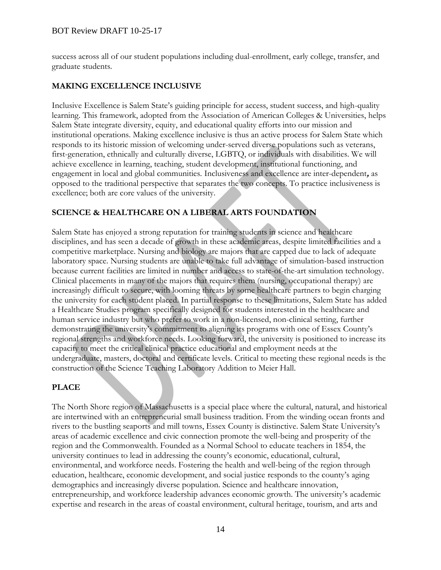success across all of our student populations including dual-enrollment, early college, transfer, and graduate students.

#### **MAKING EXCELLENCE INCLUSIVE**

Inclusive Excellence is Salem State's guiding principle for access, student success, and high-quality learning. This framework, adopted from the Association of American Colleges & Universities, helps Salem State integrate diversity, equity, and educational quality efforts into our mission and institutional operations. Making excellence inclusive is thus an active process for Salem State which responds to its historic mission of welcoming under-served diverse populations such as veterans, first-generation, ethnically and culturally diverse, LGBTQ, or individuals with disabilities. We will achieve excellence in learning, teaching, student development, institutional functioning, and engagement in local and global communities. Inclusiveness and excellence are inter-dependent**,** as opposed to the traditional perspective that separates the two concepts. To practice inclusiveness is excellence; both are core values of the university.

# **SCIENCE & HEALTHCARE ON A LIBERAL ARTS FOUNDATION**

Salem State has enjoyed a strong reputation for training students in science and healthcare disciplines, and has seen a decade of growth in these academic areas, despite limited facilities and a competitive marketplace. Nursing and biology are majors that are capped due to lack of adequate laboratory space. Nursing students are unable to take full advantage of simulation-based instruction because current facilities are limited in number and access to state-of-the-art simulation technology. Clinical placements in many of the majors that requires them (nursing, occupational therapy) are increasingly difficult to secure, with looming threats by some healthcare partners to begin charging the university for each student placed. In partial response to these limitations, Salem State has added a Healthcare Studies program specifically designed for students interested in the healthcare and human service industry but who prefer to work in a non-licensed, non-clinical setting, further demonstrating the university's commitment to aligning its programs with one of Essex County's regional strengths and workforce needs. Looking forward, the university is positioned to increase its capacity to meet the critical clinical practice educational and employment needs at the undergraduate, masters, doctoral and certificate levels. Critical to meeting these regional needs is the construction of the Science Teaching Laboratory Addition to Meier Hall.

# **PLACE**

The North Shore region of Massachusetts is a special place where the cultural, natural, and historical are intertwined with an entrepreneurial small business tradition. From the winding ocean fronts and rivers to the bustling seaports and mill towns, Essex County is distinctive. Salem State University's areas of academic excellence and civic connection promote the well-being and prosperity of the region and the Commonwealth. Founded as a Normal School to educate teachers in 1854, the university continues to lead in addressing the county's economic, educational, cultural, environmental, and workforce needs. Fostering the health and well-being of the region through education, healthcare, economic development, and social justice responds to the county's aging demographics and increasingly diverse population. Science and healthcare innovation, entrepreneurship, and workforce leadership advances economic growth. The university's academic expertise and research in the areas of coastal environment, cultural heritage, tourism, and arts and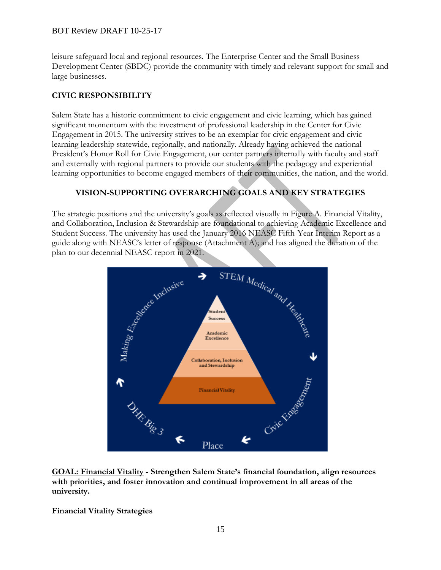leisure safeguard local and regional resources. The Enterprise Center and the Small Business Development Center (SBDC) provide the community with timely and relevant support for small and large businesses.

# **CIVIC RESPONSIBILITY**

Salem State has a historic commitment to civic engagement and civic learning, which has gained significant momentum with the investment of professional leadership in the Center for Civic Engagement in 2015. The university strives to be an exemplar for civic engagement and civic learning leadership statewide, regionally, and nationally. Already having achieved the national President's Honor Roll for Civic Engagement, our center partners internally with faculty and staff and externally with regional partners to provide our students with the pedagogy and experiential learning opportunities to become engaged members of their communities, the nation, and the world.

# **VISION-SUPPORTING OVERARCHING GOALS AND KEY STRATEGIES**

The strategic positions and the university's goals as reflected visually in Figure A. Financial Vitality, and Collaboration, Inclusion & Stewardship are foundational to achieving Academic Excellence and Student Success. The university has used the January 2016 NEASC Fifth-Year Interim Report as a plan to our decennial NEASC report in 2021.



**GOAL: Financial Vitality - Strengthen Salem State's financial foundation, align resources with priorities, and foster innovation and continual improvement in all areas of the university.** 

**Financial Vitality Strategies**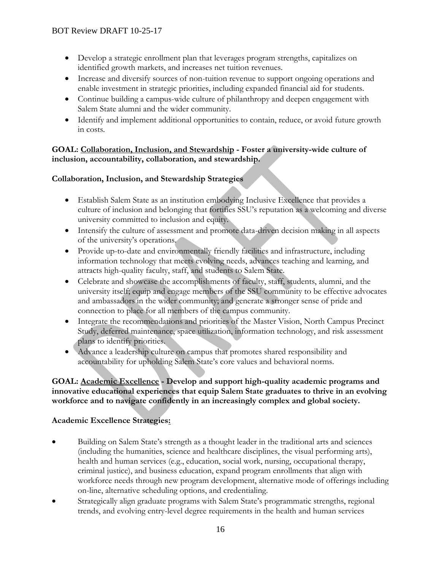- Develop a strategic enrollment plan that leverages program strengths, capitalizes on identified growth markets, and increases net tuition revenues.
- Increase and diversify sources of non-tuition revenue to support ongoing operations and enable investment in strategic priorities, including expanded financial aid for students.
- Continue building a campus-wide culture of philanthropy and deepen engagement with Salem State alumni and the wider community.
- Identify and implement additional opportunities to contain, reduce, or avoid future growth in costs.

#### **GOAL: Collaboration, Inclusion, and Stewardship - Foster a university-wide culture of inclusion, accountability, collaboration, and stewardship.**

# **Collaboration, Inclusion, and Stewardship Strategies**

- Establish Salem State as an institution embodying Inclusive Excellence that provides a culture of inclusion and belonging that fortifies SSU's reputation as a welcoming and diverse university committed to inclusion and equity.
- Intensify the culture of assessment and promote data-driven decision making in all aspects of the university's operations.
- Provide up-to-date and environmentally friendly facilities and infrastructure, including information technology that meets evolving needs, advances teaching and learning, and attracts high-quality faculty, staff, and students to Salem State.
- Celebrate and showcase the accomplishments of faculty, staff, students, alumni, and the university itself; equip and engage members of the SSU community to be effective advocates and ambassadors in the wider community; and generate a stronger sense of pride and connection to place for all members of the campus community.
- Integrate the recommendations and priorities of the Master Vision, North Campus Precinct Study, deferred maintenance, space utilization, information technology, and risk assessment plans to identify priorities.
- Advance a leadership culture on campus that promotes shared responsibility and accountability for upholding Salem State's core values and behavioral norms.

# **GOAL: Academic Excellence - Develop and support high-quality academic programs and innovative educational experiences that equip Salem State graduates to thrive in an evolving workforce and to navigate confidently in an increasingly complex and global society.**

# **Academic Excellence Strategies:**

- Building on Salem State's strength as a thought leader in the traditional arts and sciences (including the humanities, science and healthcare disciplines, the visual performing arts), health and human services (e.g., education, social work, nursing, occupational therapy, criminal justice), and business education, expand program enrollments that align with workforce needs through new program development, alternative mode of offerings including on-line, alternative scheduling options, and credentialing.
- Strategically align graduate programs with Salem State's programmatic strengths, regional trends, and evolving entry-level degree requirements in the health and human services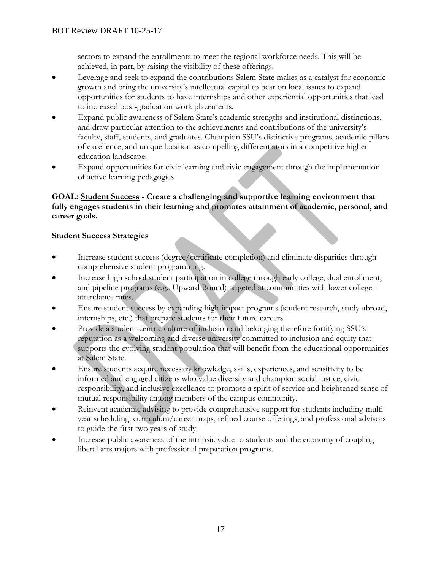sectors to expand the enrollments to meet the regional workforce needs. This will be achieved, in part, by raising the visibility of these offerings.

- Leverage and seek to expand the contributions Salem State makes as a catalyst for economic growth and bring the university's intellectual capital to bear on local issues to expand opportunities for students to have internships and other experiential opportunities that lead to increased post-graduation work placements.
- Expand public awareness of Salem State's academic strengths and institutional distinctions, and draw particular attention to the achievements and contributions of the university's faculty, staff, students, and graduates. Champion SSU's distinctive programs, academic pillars of excellence, and unique location as compelling differentiators in a competitive higher education landscape.
- Expand opportunities for civic learning and civic engagement through the implementation of active learning pedagogies

#### **GOAL: Student Success - Create a challenging and supportive learning environment that fully engages students in their learning and promotes attainment of academic, personal, and career goals.**

# **Student Success Strategies**

- Increase student success (degree/certificate completion) and eliminate disparities through comprehensive student programming.
- Increase high school student participation in college through early college, dual enrollment, and pipeline programs (e.g., Upward Bound) targeted at communities with lower collegeattendance rates.
- Ensure student success by expanding high-impact programs (student research, study-abroad, internships, etc.) that prepare students for their future careers.
- Provide a student-centric culture of inclusion and belonging therefore fortifying SSU's reputation as a welcoming and diverse university committed to inclusion and equity that supports the evolving student population that will benefit from the educational opportunities at Salem State.
- Ensure students acquire necessary knowledge, skills, experiences, and sensitivity to be informed and engaged citizens who value diversity and champion social justice, civic responsibility, and inclusive excellence to promote a spirit of service and heightened sense of mutual responsibility among members of the campus community.
- Reinvent academic advising to provide comprehensive support for students including multiyear scheduling*,* curriculum/career maps, refined course offerings, and professional advisors to guide the first two years of study.
- Increase public awareness of the intrinsic value to students and the economy of coupling liberal arts majors with professional preparation programs.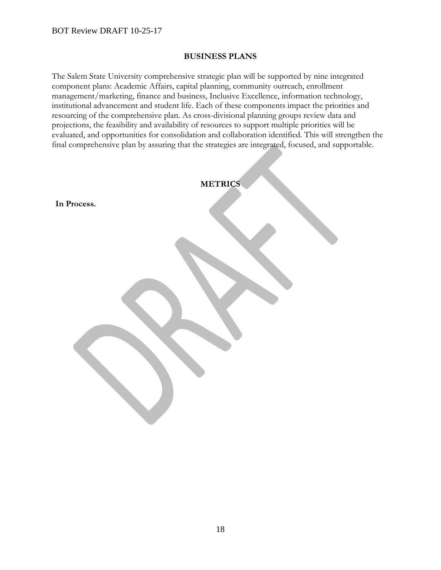#### **BUSINESS PLANS**

The Salem State University comprehensive strategic plan will be supported by nine integrated component plans: Academic Affairs, capital planning, community outreach, enrollment management/marketing, finance and business, Inclusive Excellence, information technology, institutional advancement and student life. Each of these components impact the priorities and resourcing of the comprehensive plan. As cross-divisional planning groups review data and projections, the feasibility and availability of resources to support multiple priorities will be evaluated, and opportunities for consolidation and collaboration identified. This will strengthen the final comprehensive plan by assuring that the strategies are integrated, focused, and supportable.

|             | <b>METRICS</b> |
|-------------|----------------|
| In Process. |                |
|             |                |
|             |                |
|             |                |
|             |                |
|             |                |
|             |                |
|             |                |
|             |                |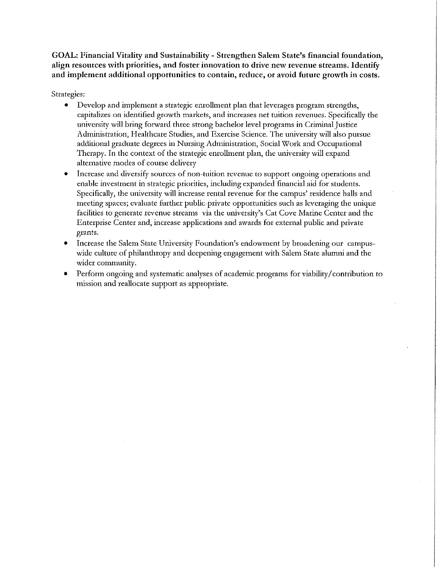GOAL: Financial Vitality and Sustainability - Strengthen Salem State's financial foundation, align resources with priorities, and foster innovation to drive new revenue streams. Identify and implement additional opportunities to contain, reduce, or avoid future growth in costs.

#### Strategies:

- $\bullet$ Develop and implement a strategic enrollment plan that leverages program strengths, capitalizes on identified growth markets, and increases net tuition revenues. Specifically the university will bring forward three strong bachelor level programs in Criminal Justice Administration, Healthcare Studies, and Exercise Science. The university will also pursue additional graduate degrees in Nursing Administration, Social Work and Occupational Therapy. In the context of the strategic enrollment plan, the university will expand alternative modes of course delivery
- Increase and diversify sources of non-tuition revenue to support ongoing operations and enable investment in strategic priorities, including expanded financial aid for students. Specifically, the university will increase rental revenue for the campus' residence halls and meeting spaces; evaluate further public-private opportunities such as leveraging the unique facilities to generate revenue streams via the university's Cat Cove Marine Center and the Enterprise Center and, increase applications and awards for external public and private grants.
- Increase the Salem State University Foundation's endowment by broadening our campus- $\bullet$ wide culture of philanthropy and deepening engagement with Salem State alumni and the wider community.
- Perform ongoing and systematic analyses of academic programs for viability/contribution to mission and reallocate support as appropriate.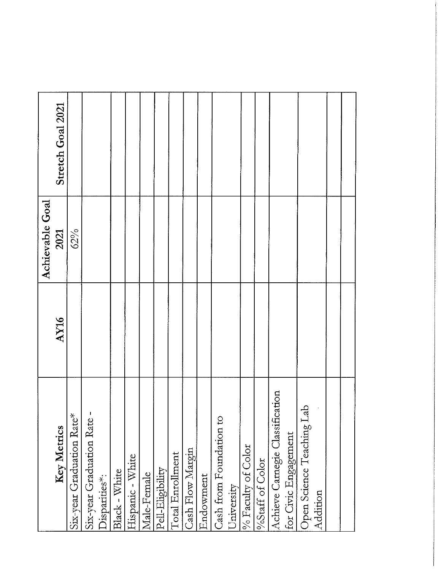|                 | Stretch Goal 2021 |                           |                          |               |               |                  |             |                  |                  |                  |           |                         |            |                    |                 |                                 |                      |                               |          |  |
|-----------------|-------------------|---------------------------|--------------------------|---------------|---------------|------------------|-------------|------------------|------------------|------------------|-----------|-------------------------|------------|--------------------|-----------------|---------------------------------|----------------------|-------------------------------|----------|--|
| Achievable Goal | 2021              | 62%                       |                          |               |               |                  |             |                  |                  |                  |           |                         |            |                    |                 |                                 |                      |                               |          |  |
|                 | AY16              |                           |                          |               |               |                  |             |                  |                  |                  |           |                         |            |                    |                 |                                 |                      |                               |          |  |
|                 | Key Metrics       | Six-year Graduation Rate* | Six-year Graduation Rate | Disparities*: | Black - White | Hispanic - White | Male-Female | Pell-Eligibility | Total Enrollment | Cash Flow Margin | Endowment | Cash from Foundation to | University | % Faculty of Color | %Staff of Color | Achieve Carnegie Classification | for Civic Engagement | da<br>Open Science Teaching L | Addition |  |